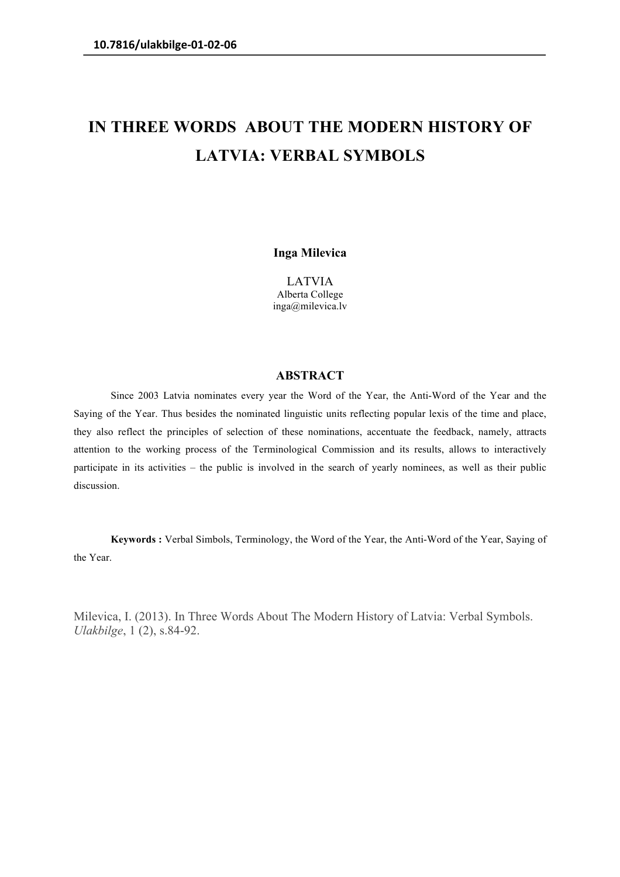## **IN THREE WORDS ABOUT THE MODERN HISTORY OF LATVIA: VERBAL SYMBOLS**

**Inga Milevica**

LATVIA Alberta College inga@milevica.lv

## **ABSTRACT**

Since 2003 Latvia nominates every year the Word of the Year, the Anti-Word of the Year and the Saying of the Year. Thus besides the nominated linguistic units reflecting popular lexis of the time and place, they also reflect the principles of selection of these nominations, accentuate the feedback, namely, attracts attention to the working process of the Terminological Commission and its results, allows to interactively participate in its activities – the public is involved in the search of yearly nominees, as well as their public discussion.

**Keywords :** Verbal Simbols, Terminology, the Word of the Year, the Anti-Word of the Year, Saying of the Year.

Milevica, I. (2013). In Three Words About The Modern History of Latvia: Verbal Symbols. *Ulakbilge*, 1 (2), s.84-92.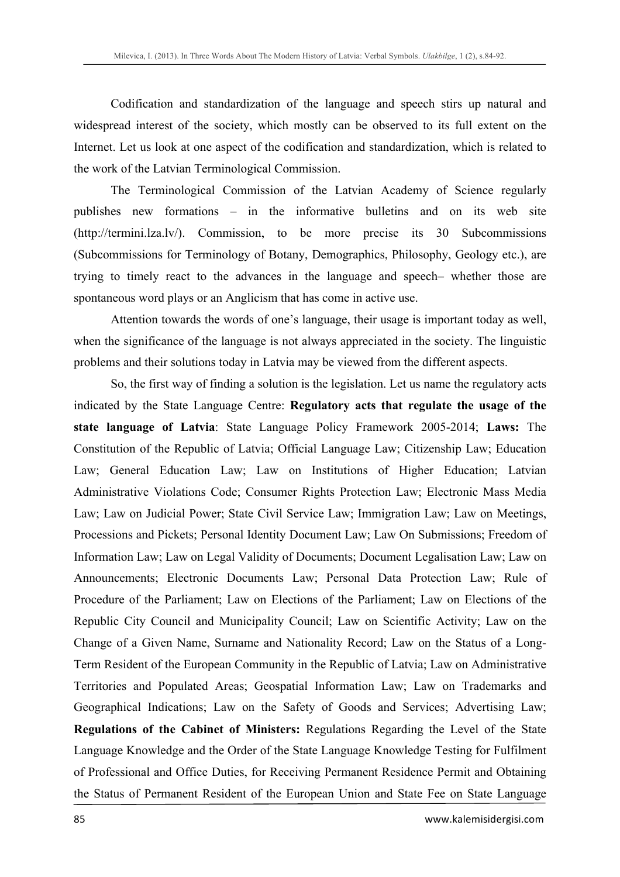Codification and standardization of the language and speech stirs up natural and widespread interest of the society, which mostly can be observed to its full extent on the Internet. Let us look at one aspect of the codification and standardization, which is related to the work of the Latvian Terminological Commission.

The Terminological Commission of the Latvian Academy of Science regularly publishes new formations – in the informative bulletins and on its web site (http://termini.lza.lv/). Commission, to be more precise its 30 Subcommissions (Subcommissions for Terminology of Botany, Demographics, Philosophy, Geology etc.), are trying to timely react to the advances in the language and speech– whether those are spontaneous word plays or an Anglicism that has come in active use.

Attention towards the words of one's language, their usage is important today as well, when the significance of the language is not always appreciated in the society. The linguistic problems and their solutions today in Latvia may be viewed from the different aspects.

So, the first way of finding a solution is the legislation. Let us name the regulatory acts indicated by the State Language Centre: **Regulatory acts that regulate the usage of the state language of Latvia**: State Language Policy Framework 2005-2014; **Laws:** The Constitution of the Republic of Latvia; Official Language Law; Citizenship Law; Education Law; General Education Law; Law on Institutions of Higher Education; Latvian Administrative Violations Code; Consumer Rights Protection Law; Electronic Mass Media Law; Law on Judicial Power; State Civil Service Law; Immigration Law; Law on Meetings, Processions and Pickets; Personal Identity Document Law; Law On Submissions; Freedom of Information Law; Law on Legal Validity of Documents; Document Legalisation Law; Law on Announcements; Electronic Documents Law; Personal Data Protection Law; Rule of Procedure of the Parliament; Law on Elections of the Parliament; Law on Elections of the Republic City Council and Municipality Council; Law on Scientific Activity; Law on the Change of a Given Name, Surname and Nationality Record; Law on the Status of a Long-Term Resident of the European Community in the Republic of Latvia; Law on Administrative Territories and Populated Areas; Geospatial Information Law; Law on Trademarks and Geographical Indications; Law on the Safety of Goods and Services; Advertising Law; **Regulations of the Cabinet of Ministers:** Regulations Regarding the Level of the State Language Knowledge and the Order of the State Language Knowledge Testing for Fulfilment of Professional and Office Duties, for Receiving Permanent Residence Permit and Obtaining the Status of Permanent Resident of the European Union and State Fee on State Language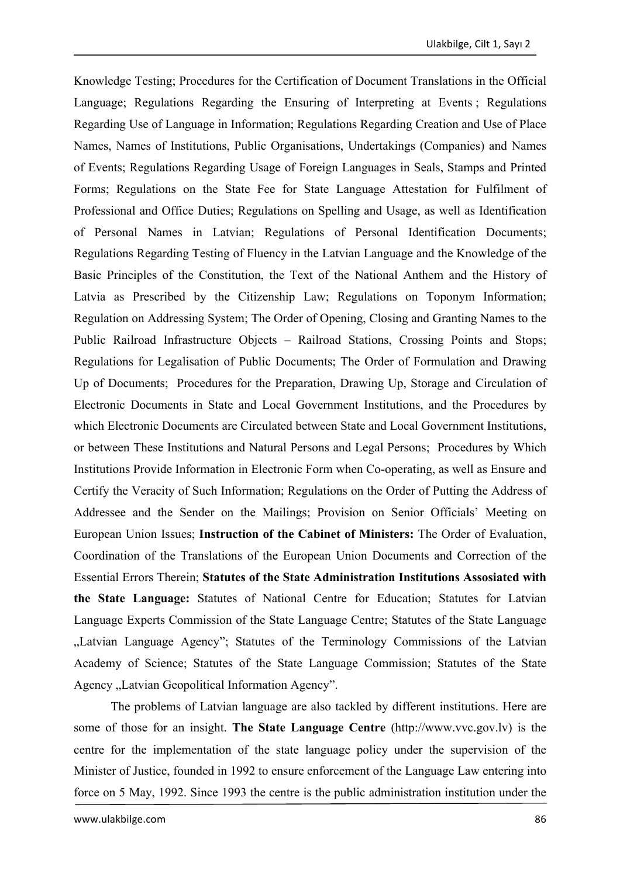Knowledge Testing; Procedures for the Certification of Document Translations in the Official Language; Regulations Regarding the Ensuring of Interpreting at Events ; Regulations Regarding Use of Language in Information; Regulations Regarding Creation and Use of Place Names, Names of Institutions, Public Organisations, Undertakings (Companies) and Names of Events; Regulations Regarding Usage of Foreign Languages in Seals, Stamps and Printed Forms; Regulations on the State Fee for State Language Attestation for Fulfilment of Professional and Office Duties; Regulations on Spelling and Usage, as well as Identification of Personal Names in Latvian; Regulations of Personal Identification Documents; Regulations Regarding Testing of Fluency in the Latvian Language and the Knowledge of the Basic Principles of the Constitution, the Text of the National Anthem and the History of Latvia as Prescribed by the Citizenship Law; Regulations on Toponym Information; Regulation on Addressing System; The Order of Opening, Closing and Granting Names to the Public Railroad Infrastructure Objects – Railroad Stations, Crossing Points and Stops; Regulations for Legalisation of Public Documents; The Order of Formulation and Drawing Up of Documents; Procedures for the Preparation, Drawing Up, Storage and Circulation of Electronic Documents in State and Local Government Institutions, and the Procedures by which Electronic Documents are Circulated between State and Local Government Institutions, or between These Institutions and Natural Persons and Legal Persons; Procedures by Which Institutions Provide Information in Electronic Form when Co-operating, as well as Ensure and Certify the Veracity of Such Information; Regulations on the Order of Putting the Address of Addressee and the Sender on the Mailings; Provision on Senior Officials' Meeting on European Union Issues; **Instruction of the Cabinet of Ministers:** The Order of Evaluation, Coordination of the Translations of the European Union Documents and Correction of the Essential Errors Therein; **Statutes of the State Administration Institutions Assosiated with the State Language:** Statutes of National Centre for Education; Statutes for Latvian Language Experts Commission of the State Language Centre; Statutes of the State Language "Latvian Language Agency"; Statutes of the Terminology Commissions of the Latvian Academy of Science; Statutes of the State Language Commission; Statutes of the State Agency "Latvian Geopolitical Information Agency".

The problems of Latvian language are also tackled by different institutions. Here are some of those for an insight. **The State Language Centre** (http://www.vvc.gov.lv) is the centre for the implementation of the state language policy under the supervision of the Minister of Justice, founded in 1992 to ensure enforcement of the Language Law entering into force on 5 May, 1992. Since 1993 the centre is the public administration institution under the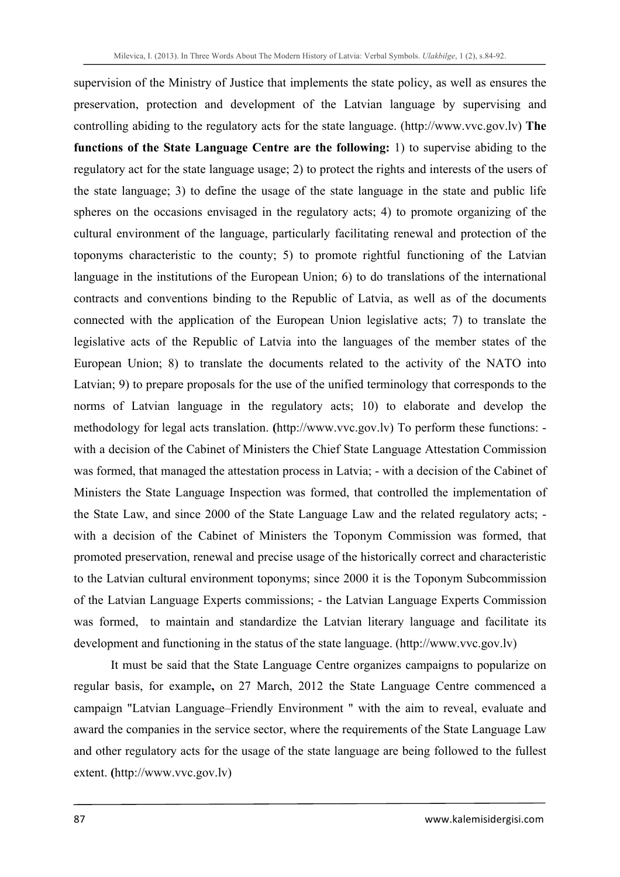supervision of the Ministry of Justice that implements the state policy, as well as ensures the preservation, protection and development of the Latvian language by supervising and controlling abiding to the regulatory acts for the state language. (http://www.vvc.gov.lv) **The functions of the State Language Centre are the following:** 1) to supervise abiding to the regulatory act for the state language usage; 2) to protect the rights and interests of the users of the state language; 3) to define the usage of the state language in the state and public life spheres on the occasions envisaged in the regulatory acts; 4) to promote organizing of the cultural environment of the language, particularly facilitating renewal and protection of the toponyms characteristic to the county; 5) to promote rightful functioning of the Latvian language in the institutions of the European Union; 6) to do translations of the international contracts and conventions binding to the Republic of Latvia, as well as of the documents connected with the application of the European Union legislative acts; 7) to translate the legislative acts of the Republic of Latvia into the languages of the member states of the European Union; 8) to translate the documents related to the activity of the NATO into Latvian; 9) to prepare proposals for the use of the unified terminology that corresponds to the norms of Latvian language in the regulatory acts; 10) to elaborate and develop the methodology for legal acts translation. **(**http://www.vvc.gov.lv) To perform these functions: with a decision of the Cabinet of Ministers the Chief State Language Attestation Commission was formed, that managed the attestation process in Latvia; - with a decision of the Cabinet of Ministers the State Language Inspection was formed, that controlled the implementation of the State Law, and since 2000 of the State Language Law and the related regulatory acts; with a decision of the Cabinet of Ministers the Toponym Commission was formed, that promoted preservation, renewal and precise usage of the historically correct and characteristic to the Latvian cultural environment toponyms; since 2000 it is the Toponym Subcommission of the Latvian Language Experts commissions; - the Latvian Language Experts Commission was formed, to maintain and standardize the Latvian literary language and facilitate its development and functioning in the status of the state language. (http://www.vvc.gov.lv)

It must be said that the State Language Centre organizes campaigns to popularize on regular basis, for example**,** on 27 March, 2012 the State Language Centre commenced a campaign "Latvian Language–Friendly Environment " with the aim to reveal, evaluate and award the companies in the service sector, where the requirements of the State Language Law and other regulatory acts for the usage of the state language are being followed to the fullest extent. **(**http://www.vvc.gov.lv)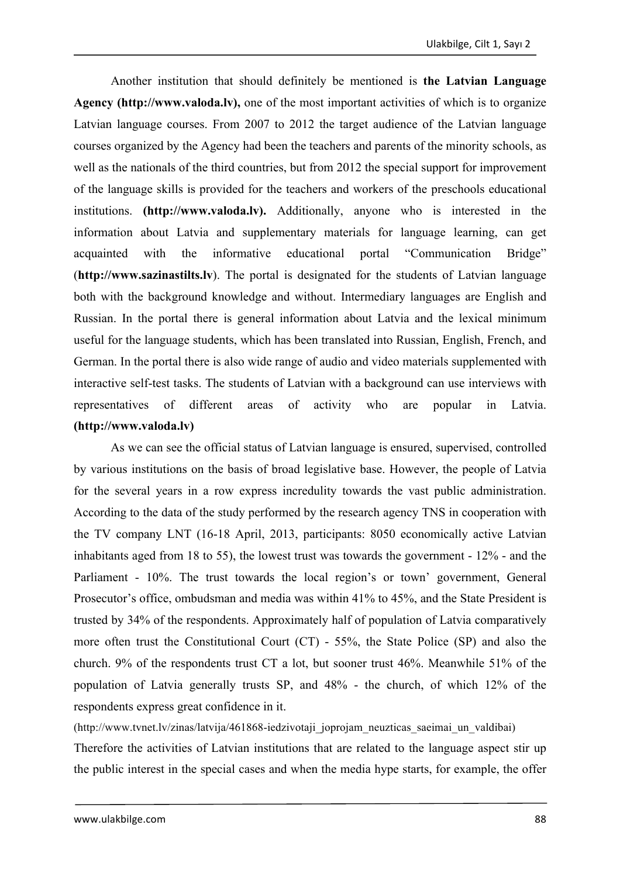Another institution that should definitely be mentioned is **the Latvian Language Agency (http://www.valoda.lv),** one of the most important activities of which is to organize Latvian language courses. From 2007 to 2012 the target audience of the Latvian language courses organized by the Agency had been the teachers and parents of the minority schools, as well as the nationals of the third countries, but from 2012 the special support for improvement of the language skills is provided for the teachers and workers of the preschools educational institutions. **(http://www.valoda.lv).** Additionally, anyone who is interested in the information about Latvia and supplementary materials for language learning, can get acquainted with the informative educational portal "Communication Bridge" (**http://www.sazinastilts.lv**). The portal is designated for the students of Latvian language both with the background knowledge and without. Intermediary languages are English and Russian. In the portal there is general information about Latvia and the lexical minimum useful for the language students, which has been translated into Russian, English, French, and German. In the portal there is also wide range of audio and video materials supplemented with interactive self-test tasks. The students of Latvian with a background can use interviews with representatives of different areas of activity who are popular in Latvia. **(http://www.valoda.lv)**

As we can see the official status of Latvian language is ensured, supervised, controlled by various institutions on the basis of broad legislative base. However, the people of Latvia for the several years in a row express incredulity towards the vast public administration. According to the data of the study performed by the research agency TNS in cooperation with the TV company LNT (16-18 April, 2013, participants: 8050 economically active Latvian inhabitants aged from 18 to 55), the lowest trust was towards the government - 12% - and the Parliament - 10%. The trust towards the local region's or town' government, General Prosecutor's office, ombudsman and media was within 41% to 45%, and the State President is trusted by 34% of the respondents. Approximately half of population of Latvia comparatively more often trust the Constitutional Court (CT) - 55%, the State Police (SP) and also the church. 9% of the respondents trust CT a lot, but sooner trust 46%. Meanwhile 51% of the population of Latvia generally trusts SP, and 48% - the church, of which 12% of the respondents express great confidence in it.

(http://www.tvnet.lv/zinas/latvija/461868-iedzivotaji\_joprojam\_neuzticas\_saeimai\_un\_valdibai)

Therefore the activities of Latvian institutions that are related to the language aspect stir up the public interest in the special cases and when the media hype starts, for example, the offer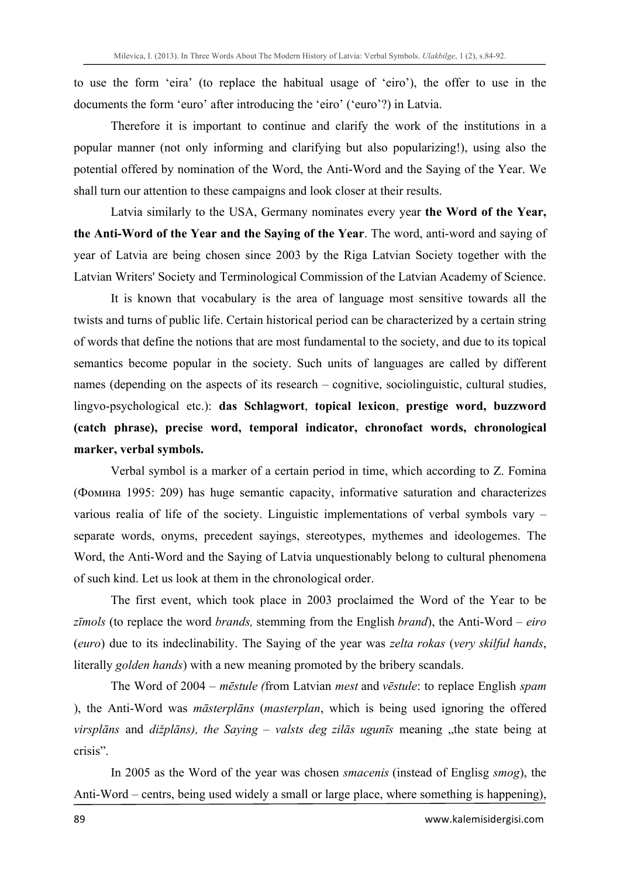to use the form 'eira' (to replace the habitual usage of 'eiro'), the offer to use in the documents the form 'euro' after introducing the 'eiro' ('euro'?) in Latvia.

Therefore it is important to continue and clarify the work of the institutions in a popular manner (not only informing and clarifying but also popularizing!), using also the potential offered by nomination of the Word, the Anti-Word and the Saying of the Year. We shall turn our attention to these campaigns and look closer at their results.

Latvia similarly to the USA, Germany nominates every year **the Word of the Year, the Anti-Word of the Year and the Saying of the Year**. The word, anti-word and saying of year of Latvia are being chosen since 2003 by the Riga Latvian Society together with the Latvian Writers' Society and Terminological Commission of the Latvian Academy of Science.

It is known that vocabulary is the area of language most sensitive towards all the twists and turns of public life. Certain historical period can be characterized by a certain string of words that define the notions that are most fundamental to the society, and due to its topical semantics become popular in the society. Such units of languages are called by different names (depending on the aspects of its research – cognitive, sociolinguistic, cultural studies, lingvo-psychological etc.): **das Schlagwort**, **topical lexicon**, **prestige word, buzzword (catch phrase), precise word, temporal indicator, chronofact words, chronological marker, verbal symbols.** 

Verbal symbol is a marker of a certain period in time, which according to Z. Fomina (Фомина 1995: 209) has huge semantic capacity, informative saturation and characterizes various realia of life of the society. Linguistic implementations of verbal symbols vary – separate words, onyms, precedent sayings, stereotypes, mythemes and ideologemes. The Word, the Anti-Word and the Saying of Latvia unquestionably belong to cultural phenomena of such kind. Let us look at them in the chronological order.

The first event, which took place in 2003 proclaimed the Word of the Year to be *zīmols* (to replace the word *brands,* stemming from the English *brand*), the Anti-Word – *eiro* (*euro*) due to its indeclinability. The Saying of the year was *zelta rokas* (*very skilful hands*, literally *golden hands*) with a new meaning promoted by the bribery scandals.

The Word of 2004 – *mēstule (*from Latvian *mest* and *vēstule*: to replace English *spam* ), the Anti-Word was *māsterplāns* (*masterplan*, which is being used ignoring the offered *virsplāns* and *dižplāns*), the Saying – *valsts deg zilās ugunīs* meaning "the state being at crisis".

In 2005 as the Word of the year was chosen *smacenis* (instead of Englisg *smog*), the Anti-Word – centrs, being used widely a small or large place, where something is happening),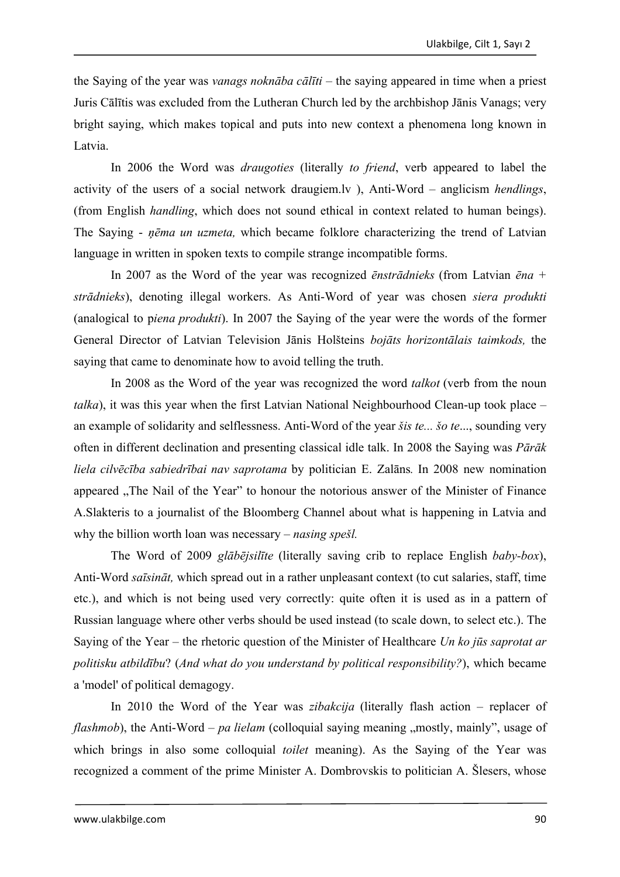the Saying of the year was *vanags noknāba cālīti* – the saying appeared in time when a priest Juris Cālītis was excluded from the Lutheran Church led by the archbishop Jānis Vanags; very bright saying, which makes topical and puts into new context a phenomena long known in Latvia.

In 2006 the Word was *draugoties* (literally *to friend*, verb appeared to label the activity of the users of a social network draugiem.lv ), Anti-Word – anglicism *hendlings*, (from English *handling*, which does not sound ethical in context related to human beings). The Saying - *ņēma un uzmeta,* which became folklore characterizing the trend of Latvian language in written in spoken texts to compile strange incompatible forms.

In 2007 as the Word of the year was recognized *ēnstrādnieks* (from Latvian *ēna + strādnieks*), denoting illegal workers. As Anti-Word of year was chosen *siera produkti*  (analogical to p*iena produkti*). In 2007 the Saying of the year were the words of the former General Director of Latvian Television Jānis Holšteins *bojāts horizontālais taimkods,* the saying that came to denominate how to avoid telling the truth.

In 2008 as the Word of the year was recognized the word *talkot* (verb from the noun *talka*), it was this year when the first Latvian National Neighbourhood Clean-up took place – an example of solidarity and selflessness. Anti-Word of the year *šis te... šo te*..., sounding very often in different declination and presenting classical idle talk. In 2008 the Saying was *Pārāk liela cilvēcība sabiedrībai nav saprotama* by politician E. Zalāns*.* In 2008 new nomination appeared . The Nail of the Year" to honour the notorious answer of the Minister of Finance A.Slakteris to a journalist of the Bloomberg Channel about what is happening in Latvia and why the billion worth loan was necessary – *nasing spešl.* 

The Word of 2009 *glābējsilīte* (literally saving crib to replace English *baby-box*), Anti-Word *saīsināt,* which spread out in a rather unpleasant context (to cut salaries, staff, time etc.), and which is not being used very correctly: quite often it is used as in a pattern of Russian language where other verbs should be used instead (to scale down, to select etc.). The Saying of the Year – the rhetoric question of the Minister of Healthcare *Un ko jūs saprotat ar politisku atbildību*? (*And what do you understand by political responsibility?*), which became a 'model' of political demagogy.

In 2010 the Word of the Year was *zibakcija* (literally flash action – replacer of *flashmob*), the Anti-Word – *pa lielam* (colloquial saying meaning , mostly, mainly", usage of which brings in also some colloquial *toilet* meaning). As the Saying of the Year was recognized a comment of the prime Minister A. Dombrovskis to politician A. Šlesers, whose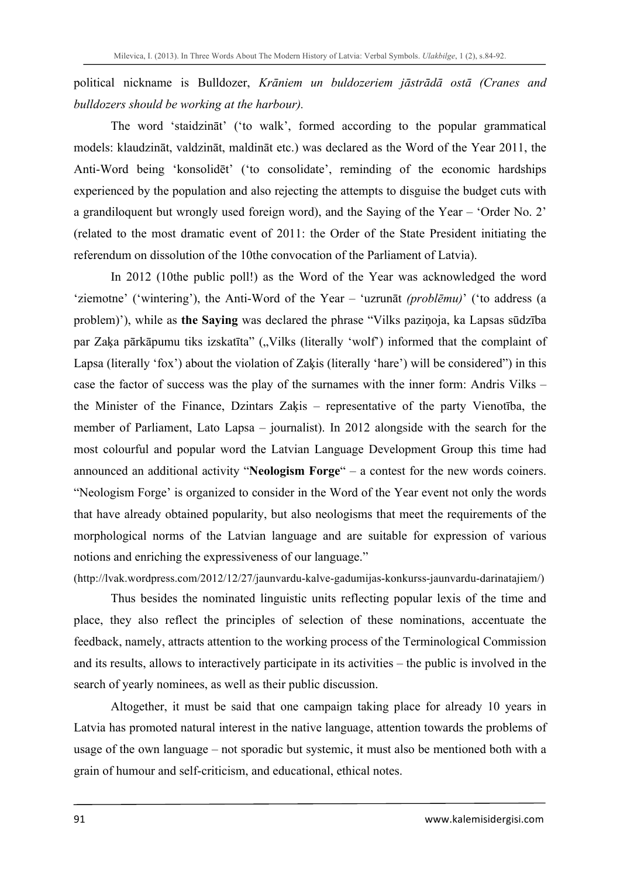political nickname is Bulldozer, *Krāniem un buldozeriem jāstrādā ostā (Cranes and bulldozers should be working at the harbour).*

The word 'staidzināt' ('to walk', formed according to the popular grammatical models: klaudzināt, valdzināt, maldināt etc.) was declared as the Word of the Year 2011, the Anti-Word being 'konsolidēt' ('to consolidate', reminding of the economic hardships experienced by the population and also rejecting the attempts to disguise the budget cuts with a grandiloquent but wrongly used foreign word), and the Saying of the Year – 'Order No. 2' (related to the most dramatic event of 2011: the Order of the State President initiating the referendum on dissolution of the 10the convocation of the Parliament of Latvia).

In 2012 (10the public poll!) as the Word of the Year was acknowledged the word 'ziemotne' ('wintering'), the Anti-Word of the Year – 'uzrunāt *(problēmu)*' ('to address (a problem)'), while as **the Saying** was declared the phrase "Vilks paziņoja, ka Lapsas sūdzība par Zaķa pārkāpumu tiks izskatīta" ("Vilks (literally 'wolf') informed that the complaint of Lapsa (literally 'fox') about the violation of Zaķis (literally 'hare') will be considered") in this case the factor of success was the play of the surnames with the inner form: Andris Vilks – the Minister of the Finance, Dzintars Zaķis – representative of the party Vienotība, the member of Parliament, Lato Lapsa – journalist). In 2012 alongside with the search for the most colourful and popular word the Latvian Language Development Group this time had announced an additional activity "**Neologism Forge**" – a contest for the new words coiners. "Neologism Forge' is organized to consider in the Word of the Year event not only the words that have already obtained popularity, but also neologisms that meet the requirements of the morphological norms of the Latvian language and are suitable for expression of various notions and enriching the expressiveness of our language."

(http://lvak.wordpress.com/2012/12/27/jaunvardu-kalve-gadumijas-konkurss-jaunvardu-darinatajiem/)

Thus besides the nominated linguistic units reflecting popular lexis of the time and place, they also reflect the principles of selection of these nominations, accentuate the feedback, namely, attracts attention to the working process of the Terminological Commission and its results, allows to interactively participate in its activities – the public is involved in the search of yearly nominees, as well as their public discussion.

Altogether, it must be said that one campaign taking place for already 10 years in Latvia has promoted natural interest in the native language, attention towards the problems of usage of the own language – not sporadic but systemic, it must also be mentioned both with a grain of humour and self-criticism, and educational, ethical notes.